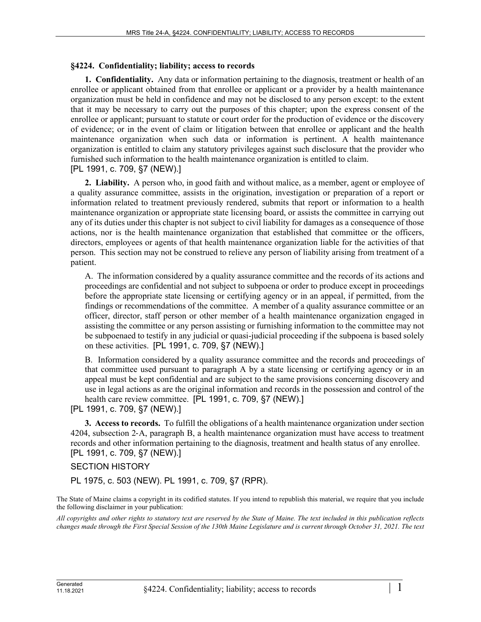## **§4224. Confidentiality; liability; access to records**

**1. Confidentiality.** Any data or information pertaining to the diagnosis, treatment or health of an enrollee or applicant obtained from that enrollee or applicant or a provider by a health maintenance organization must be held in confidence and may not be disclosed to any person except: to the extent that it may be necessary to carry out the purposes of this chapter; upon the express consent of the enrollee or applicant; pursuant to statute or court order for the production of evidence or the discovery of evidence; or in the event of claim or litigation between that enrollee or applicant and the health maintenance organization when such data or information is pertinent. A health maintenance organization is entitled to claim any statutory privileges against such disclosure that the provider who furnished such information to the health maintenance organization is entitled to claim. [PL 1991, c. 709, §7 (NEW).]

**2. Liability.** A person who, in good faith and without malice, as a member, agent or employee of a quality assurance committee, assists in the origination, investigation or preparation of a report or information related to treatment previously rendered, submits that report or information to a health maintenance organization or appropriate state licensing board, or assists the committee in carrying out any of its duties under this chapter is not subject to civil liability for damages as a consequence of those actions, nor is the health maintenance organization that established that committee or the officers, directors, employees or agents of that health maintenance organization liable for the activities of that person. This section may not be construed to relieve any person of liability arising from treatment of a patient.

A. The information considered by a quality assurance committee and the records of its actions and proceedings are confidential and not subject to subpoena or order to produce except in proceedings before the appropriate state licensing or certifying agency or in an appeal, if permitted, from the findings or recommendations of the committee. A member of a quality assurance committee or an officer, director, staff person or other member of a health maintenance organization engaged in assisting the committee or any person assisting or furnishing information to the committee may not be subpoenaed to testify in any judicial or quasi-judicial proceeding if the subpoena is based solely on these activities. [PL 1991, c. 709, §7 (NEW).]

B. Information considered by a quality assurance committee and the records and proceedings of that committee used pursuant to paragraph A by a state licensing or certifying agency or in an appeal must be kept confidential and are subject to the same provisions concerning discovery and use in legal actions as are the original information and records in the possession and control of the health care review committee. [PL 1991, c. 709, §7 (NEW).]

[PL 1991, c. 709, §7 (NEW).]

**3. Access to records.** To fulfill the obligations of a health maintenance organization under section 4204, subsection 2‑A, paragraph B, a health maintenance organization must have access to treatment records and other information pertaining to the diagnosis, treatment and health status of any enrollee. [PL 1991, c. 709, §7 (NEW).]

## SECTION HISTORY

PL 1975, c. 503 (NEW). PL 1991, c. 709, §7 (RPR).

The State of Maine claims a copyright in its codified statutes. If you intend to republish this material, we require that you include the following disclaimer in your publication:

*All copyrights and other rights to statutory text are reserved by the State of Maine. The text included in this publication reflects changes made through the First Special Session of the 130th Maine Legislature and is current through October 31, 2021. The text*